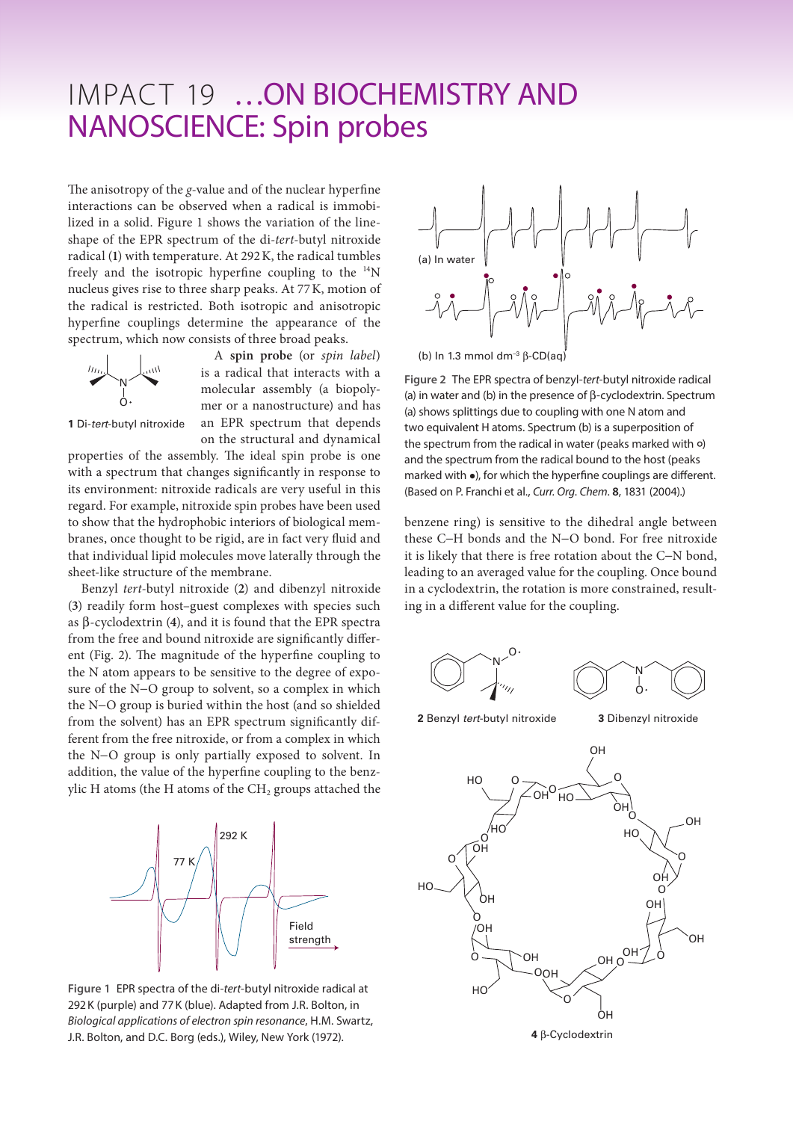## IMPACT 19 ... ON BIOCHEMISTRY AND NANOSCIENCE: Spin probes

The anisotropy of the *g*-value and of the nuclear hyperfine interactions can be observed when a radical is immobilized in a solid. Figure 1 shows the variation of the lineshape of the EPR spectrum of the di-*tert-*butyl nitroxide radical (**1**) with temperature. At 292K, the radical tumbles freely and the isotropic hyperfine coupling to the  $^{14}$ N nucleus gives rise to three sharp peaks. At 77K, motion of the radical is restricted. Both isotropic and anisotropic hyperfine couplings determine the appearance of the spectrum, which now consists of three broad peaks.



A **spin probe** (or *spin label*) is a radical that interacts with a molecular assembly (a biopolymer or a nanostructure) and has an EPR spectrum that depends on the structural and dynamical

**1** Di-*tert*-butyl nitroxide

properties of the assembly. The ideal spin probe is one with a spectrum that changes significantly in response to its environment: nitroxide radicals are very useful in this regard. For example, nitroxide spin probes have been used to show that the hydrophobic interiors of biological membranes, once thought to be rigid, are in fact very fluid and that individual lipid molecules move laterally through the sheet-like structure of the membrane.

Benzyl *tert*-butyl nitroxide (**2**) and dibenzyl nitroxide (**3**) readily form host–guest complexes with species such as β-cyclodextrin (**4**), and it is found that the EPR spectra from the free and bound nitroxide are significantly different (Fig. 2). The magnitude of the hyperfine coupling to the N atom appears to be sensitive to the degree of exposure of the N−O group to solvent, so a complex in which the N−O group is buried within the host (and so shielded from the solvent) has an EPR spectrum significantly different from the free nitroxide, or from a complex in which the N−O group is only partially exposed to solvent. In addition, the value of the hyperfine coupling to the benzylic H atoms (the H atoms of the  $CH<sub>2</sub>$  groups attached the



**Figure 1** EPR spectra of the di-*tert*-butyl nitroxide radical at 292K (purple) and 77K (blue). Adapted from J.R. Bolton, in *Biological applications of electron spin resonance*, H.M. Swartz, J.R. Bolton, and D.C. Borg (eds.), Wiley, New York (1972).



(b) In 1.3 mmol dm–3 β-CD(aq)

**Figure 2** The EPR spectra of benzyl-*tert-*butyl nitroxide radical (a) in water and (b) in the presence of β-cyclodextrin. Spectrum (a) shows splittings due to coupling with one N atom and two equivalent H atoms. Spectrum (b) is a superposition of the spectrum from the radical in water (peaks marked with  $\circ$ )<br>and the spectrum from the radical bound to the best (peaks and the spectrum from the radical bound to the host (peaks marked with •), for which the hyperfine couplings are different. (Based on P. Franchi et al., *Curr. Org. Chem*. **8**, 1831 (2004).)

benzene ring) is sensitive to the dihedral angle between these C−H bonds and the N−O bond. For free nitroxide it is likely that there is free rotation about the C−N bond, leading to an averaged value for the coupling. Once bound in a cyclodextrin, the rotation is more constrained, resulting in a different value for the coupling.



**2** Benzyl *tert*-butyl nitroxide

**3** Dibenzyl nitroxide